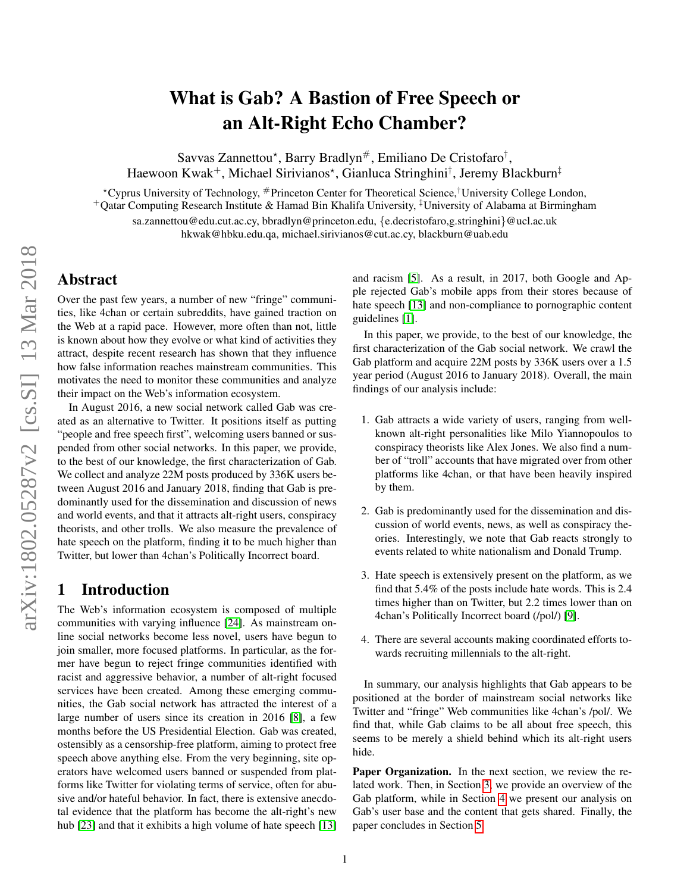# What is Gab? A Bastion of Free Speech or an Alt-Right Echo Chamber?

Savvas Zannettou\*, Barry Bradlyn#, Emiliano De Cristofaro<sup>†</sup>, Haewoon Kwak<sup>+</sup>, Michael Sirivianos\*, Gianluca Stringhini<sup>†</sup>, Jeremy Blackburn<sup>‡</sup>

?Cyprus University of Technology, #Princeton Center for Theoretical Science,†University College London, <sup>+</sup>Qatar Computing Research Institute & Hamad Bin Khalifa University, ‡University of Alabama at Birmingham sa.zannettou@edu.cut.ac.cy, bbradlyn@princeton.edu, {e.decristofaro,g.stringhini}@ucl.ac.uk hkwak@hbku.edu.qa, michael.sirivianos@cut.ac.cy, blackburn@uab.edu

# Abstract

Over the past few years, a number of new "fringe" communities, like 4chan or certain subreddits, have gained traction on the Web at a rapid pace. However, more often than not, little is known about how they evolve or what kind of activities they attract, despite recent research has shown that they influence how false information reaches mainstream communities. This motivates the need to monitor these communities and analyze their impact on the Web's information ecosystem.

In August 2016, a new social network called Gab was created as an alternative to Twitter. It positions itself as putting "people and free speech first", welcoming users banned or suspended from other social networks. In this paper, we provide, to the best of our knowledge, the first characterization of Gab. We collect and analyze 22M posts produced by 336K users between August 2016 and January 2018, finding that Gab is predominantly used for the dissemination and discussion of news and world events, and that it attracts alt-right users, conspiracy theorists, and other trolls. We also measure the prevalence of hate speech on the platform, finding it to be much higher than Twitter, but lower than 4chan's Politically Incorrect board.

### 1 Introduction

The Web's information ecosystem is composed of multiple communities with varying influence [\[24\]](#page-7-0). As mainstream online social networks become less novel, users have begun to join smaller, more focused platforms. In particular, as the former have begun to reject fringe communities identified with racist and aggressive behavior, a number of alt-right focused services have been created. Among these emerging communities, the Gab social network has attracted the interest of a large number of users since its creation in 2016 [\[8\]](#page-6-0), a few months before the US Presidential Election. Gab was created, ostensibly as a censorship-free platform, aiming to protect free speech above anything else. From the very beginning, site operators have welcomed users banned or suspended from platforms like Twitter for violating terms of service, often for abusive and/or hateful behavior. In fact, there is extensive anecdotal evidence that the platform has become the alt-right's new hub [\[23\]](#page-7-1) and that it exhibits a high volume of hate speech [\[13\]](#page-6-1) and racism [\[5\]](#page-6-2). As a result, in 2017, both Google and Apple rejected Gab's mobile apps from their stores because of hate speech [\[13\]](#page-6-1) and non-compliance to pornographic content guidelines [\[1\]](#page-6-3).

In this paper, we provide, to the best of our knowledge, the first characterization of the Gab social network. We crawl the Gab platform and acquire 22M posts by 336K users over a 1.5 year period (August 2016 to January 2018). Overall, the main findings of our analysis include:

- 1. Gab attracts a wide variety of users, ranging from wellknown alt-right personalities like Milo Yiannopoulos to conspiracy theorists like Alex Jones. We also find a number of "troll" accounts that have migrated over from other platforms like 4chan, or that have been heavily inspired by them.
- 2. Gab is predominantly used for the dissemination and discussion of world events, news, as well as conspiracy theories. Interestingly, we note that Gab reacts strongly to events related to white nationalism and Donald Trump.
- 3. Hate speech is extensively present on the platform, as we find that 5.4% of the posts include hate words. This is 2.4 times higher than on Twitter, but 2.2 times lower than on 4chan's Politically Incorrect board (/pol/) [\[9\]](#page-6-4).
- 4. There are several accounts making coordinated efforts towards recruiting millennials to the alt-right.

In summary, our analysis highlights that Gab appears to be positioned at the border of mainstream social networks like Twitter and "fringe" Web communities like 4chan's /pol/. We find that, while Gab claims to be all about free speech, this seems to be merely a shield behind which its alt-right users hide.

Paper Organization. In the next section, we review the related work. Then, in Section [3,](#page-1-0) we provide an overview of the Gab platform, while in Section [4](#page-2-0) we present our analysis on Gab's user base and the content that gets shared. Finally, the paper concludes in Section [5.](#page-6-5)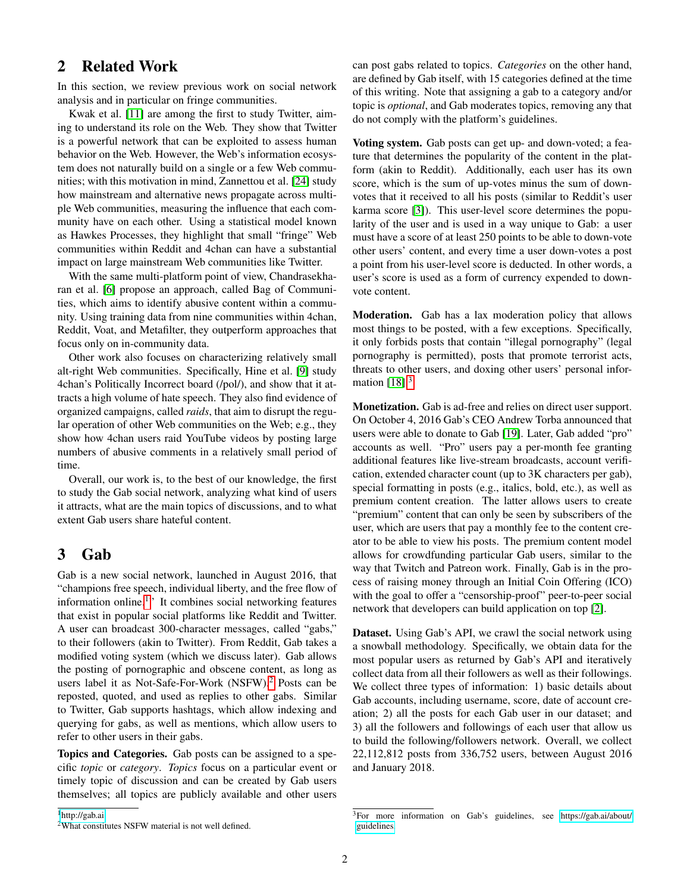# 2 Related Work

In this section, we review previous work on social network analysis and in particular on fringe communities.

Kwak et al. [\[11\]](#page-6-6) are among the first to study Twitter, aiming to understand its role on the Web. They show that Twitter is a powerful network that can be exploited to assess human behavior on the Web. However, the Web's information ecosystem does not naturally build on a single or a few Web communities; with this motivation in mind, Zannettou et al. [\[24\]](#page-7-0) study how mainstream and alternative news propagate across multiple Web communities, measuring the influence that each community have on each other. Using a statistical model known as Hawkes Processes, they highlight that small "fringe" Web communities within Reddit and 4chan can have a substantial impact on large mainstream Web communities like Twitter.

With the same multi-platform point of view, Chandrasekharan et al. [\[6\]](#page-6-7) propose an approach, called Bag of Communities, which aims to identify abusive content within a community. Using training data from nine communities within 4chan, Reddit, Voat, and Metafilter, they outperform approaches that focus only on in-community data.

Other work also focuses on characterizing relatively small alt-right Web communities. Specifically, Hine et al. [\[9\]](#page-6-4) study 4chan's Politically Incorrect board (/pol/), and show that it attracts a high volume of hate speech. They also find evidence of organized campaigns, called *raids*, that aim to disrupt the regular operation of other Web communities on the Web; e.g., they show how 4chan users raid YouTube videos by posting large numbers of abusive comments in a relatively small period of time.

Overall, our work is, to the best of our knowledge, the first to study the Gab social network, analyzing what kind of users it attracts, what are the main topics of discussions, and to what extent Gab users share hateful content.

# <span id="page-1-0"></span>3 Gab

Gab is a new social network, launched in August 2016, that "champions free speech, individual liberty, and the free flow of information online.<sup>[1](#page-1-1)</sup>" It combines social networking features that exist in popular social platforms like Reddit and Twitter. A user can broadcast 300-character messages, called "gabs," to their followers (akin to Twitter). From Reddit, Gab takes a modified voting system (which we discuss later). Gab allows the posting of pornographic and obscene content, as long as users label it as Not-Safe-For-Work (NSFW).<sup>[2](#page-1-2)</sup> Posts can be reposted, quoted, and used as replies to other gabs. Similar to Twitter, Gab supports hashtags, which allow indexing and querying for gabs, as well as mentions, which allow users to refer to other users in their gabs.

Topics and Categories. Gab posts can be assigned to a specific *topic* or *category*. *Topics* focus on a particular event or timely topic of discussion and can be created by Gab users themselves; all topics are publicly available and other users

<span id="page-1-1"></span><sup>1</sup><http://gab.ai>

can post gabs related to topics. *Categories* on the other hand, are defined by Gab itself, with 15 categories defined at the time of this writing. Note that assigning a gab to a category and/or topic is *optional*, and Gab moderates topics, removing any that do not comply with the platform's guidelines.

Voting system. Gab posts can get up- and down-voted; a feature that determines the popularity of the content in the platform (akin to Reddit). Additionally, each user has its own score, which is the sum of up-votes minus the sum of downvotes that it received to all his posts (similar to Reddit's user karma score [\[3\]](#page-6-8)). This user-level score determines the popularity of the user and is used in a way unique to Gab: a user must have a score of at least 250 points to be able to down-vote other users' content, and every time a user down-votes a post a point from his user-level score is deducted. In other words, a user's score is used as a form of currency expended to downvote content.

Moderation. Gab has a lax moderation policy that allows most things to be posted, with a few exceptions. Specifically, it only forbids posts that contain "illegal pornography" (legal pornography is permitted), posts that promote terrorist acts, threats to other users, and doxing other users' personal information  $[18]$ <sup>[3](#page-1-3)</sup>

Monetization. Gab is ad-free and relies on direct user support. On October 4, 2016 Gab's CEO Andrew Torba announced that users were able to donate to Gab [\[19\]](#page-7-3). Later, Gab added "pro" accounts as well. "Pro" users pay a per-month fee granting additional features like live-stream broadcasts, account verification, extended character count (up to 3K characters per gab), special formatting in posts (e.g., italics, bold, etc.), as well as premium content creation. The latter allows users to create "premium" content that can only be seen by subscribers of the user, which are users that pay a monthly fee to the content creator to be able to view his posts. The premium content model allows for crowdfunding particular Gab users, similar to the way that Twitch and Patreon work. Finally, Gab is in the process of raising money through an Initial Coin Offering (ICO) with the goal to offer a "censorship-proof" peer-to-peer social network that developers can build application on top [\[2\]](#page-6-9).

Dataset. Using Gab's API, we crawl the social network using a snowball methodology. Specifically, we obtain data for the most popular users as returned by Gab's API and iteratively collect data from all their followers as well as their followings. We collect three types of information: 1) basic details about Gab accounts, including username, score, date of account creation; 2) all the posts for each Gab user in our dataset; and 3) all the followers and followings of each user that allow us to build the following/followers network. Overall, we collect 22,112,812 posts from 336,752 users, between August 2016 and January 2018.

<span id="page-1-2"></span><sup>2</sup>What constitutes NSFW material is not well defined.

<span id="page-1-3"></span><sup>3</sup>For more information on Gab's guidelines, see [https://gab.ai/about/](https://gab.ai/about/guidelines) [guidelines.](https://gab.ai/about/guidelines)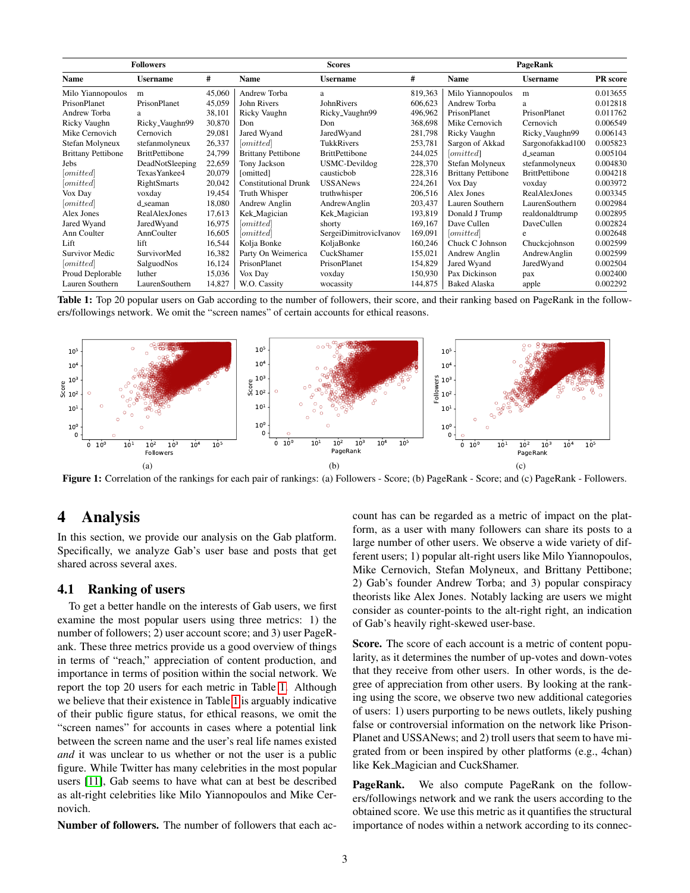<span id="page-2-1"></span>

| <b>Followers</b>          |                       |        | <b>Scores</b>               |                        |         | PageRank                  |                       |                 |
|---------------------------|-----------------------|--------|-----------------------------|------------------------|---------|---------------------------|-----------------------|-----------------|
| Name                      | <b>Username</b>       | #      | Name                        | <b>Username</b>        | #       | Name                      | <b>Username</b>       | <b>PR</b> score |
| Milo Yiannopoulos         | m                     | 45,060 | Andrew Torba                | a                      | 819,363 | Milo Yiannopoulos         | m                     | 0.013655        |
| PrisonPlanet              | PrisonPlanet          | 45,059 | John Rivers                 | JohnRivers             | 606,623 | Andrew Torba              | a                     | 0.012818        |
| Andrew Torba              | a                     | 38,101 | Ricky Vaughn                | Ricky_Vaughn99         | 496,962 | PrisonPlanet              | PrisonPlanet          | 0.011762        |
| Ricky Vaughn              | Ricky_Vaughn99        | 30,870 | Don                         | Don                    | 368,698 | Mike Cernovich            | Cernovich             | 0.006549        |
| Mike Cernovich            | Cernovich             | 29,081 | Jared Wyand                 | JaredWyand             | 281,798 | Ricky Vaughn              | Ricky_Vaughn99        | 0.006143        |
| Stefan Molyneux           | stefanmolyneux        | 26,337 | [ <i>omitted</i> ]          | <b>TukkRivers</b>      | 253,781 | Sargon of Akkad           | Sargonofakkad100      | 0.005823        |
| <b>Brittany Pettibone</b> | <b>BrittPettibone</b> | 24,799 | <b>Brittany Pettibone</b>   | <b>BrittPettibone</b>  | 244,025 | [omitted]                 | d_seaman              | 0.005104        |
| Jebs                      | DeadNotSleeping       | 22,659 | Tony Jackson                | USMC-Devildog          | 228,370 | Stefan Molyneux           | stefanmolyneux        | 0.004830        |
| [omitted]                 | Texas Yankee4         | 20,079 | [omitted]                   | causticbob             | 228,316 | <b>Brittany Pettibone</b> | <b>BrittPettibone</b> | 0.004218        |
| [omitted]                 | <b>RightSmarts</b>    | 20,042 | <b>Constitutional Drunk</b> | <b>USSANews</b>        | 224,261 | Vox Day                   | voxday                | 0.003972        |
| Vox Day                   | voxday                | 19,454 | Truth Whisper               | truthwhisper           | 206,516 | Alex Jones                | RealAlexJones         | 0.003345        |
| <i>[omitted]</i>          | d_seaman              | 18,080 | Andrew Anglin               | AndrewAnglin           | 203,437 | Lauren Southern           | LaurenSouthern        | 0.002984        |
| Alex Jones                | RealAlexJones         | 17,613 | Kek_Magician                | Kek_Magician           | 193,819 | Donald J Trump            | realdonaldtrump       | 0.002895        |
| Jared Wyand               | JaredWyand            | 16,975 | <i>mitted</i>               | shorty                 | 169,167 | Dave Cullen               | DaveCullen            | 0.002824        |
| Ann Coulter               | AnnCoulter            | 16,605 | <i>mitted</i>               | SergeiDimitrovicIvanov | 169,091 | <i>[omitted]</i>          | e                     | 0.002648        |
| Lift                      | lift                  | 16,544 | Kolja Bonke                 | KoljaBonke             | 160,246 | Chuck C Johnson           | Chuckcjohnson         | 0.002599        |
| Survivor Medic            | SurvivorMed           | 16,382 | Party On Weimerica          | CuckShamer             | 155,021 | Andrew Anglin             | AndrewAnglin          | 0.002599        |
| <i>[omitted]</i>          | SalguodNos            | 16,124 | PrisonPlanet                | PrisonPlanet           | 154,829 | Jared Wyand               | JaredWyand            | 0.002504        |
| Proud Deplorable          | luther                | 15,036 | Vox Day                     | voxday                 | 150,930 | Pax Dickinson             | pax                   | 0.002400        |
| Lauren Southern           | LaurenSouthern        | 14,827 | W.O. Cassity                | wocassity              | 144,875 | <b>Baked Alaska</b>       | apple                 | 0.002292        |

Table 1: Top 20 popular users on Gab according to the number of followers, their score, and their ranking based on PageRank in the followers/followings network. We omit the "screen names" of certain accounts for ethical reasons.

<span id="page-2-4"></span><span id="page-2-2"></span>

Figure 1: Correlation of the rankings for each pair of rankings: (a) Followers - Score; (b) PageRank - Score; and (c) PageRank - Followers.

# <span id="page-2-0"></span>4 Analysis

In this section, we provide our analysis on the Gab platform. Specifically, we analyze Gab's user base and posts that get shared across several axes.

#### 4.1 Ranking of users

To get a better handle on the interests of Gab users, we first examine the most popular users using three metrics: 1) the number of followers; 2) user account score; and 3) user PageRank. These three metrics provide us a good overview of things in terms of "reach," appreciation of content production, and importance in terms of position within the social network. We report the top 20 users for each metric in Table [1.](#page-2-1) Although we believe that their existence in Table [1](#page-2-1) is arguably indicative of their public figure status, for ethical reasons, we omit the "screen names" for accounts in cases where a potential link between the screen name and the user's real life names existed *and* it was unclear to us whether or not the user is a public figure. While Twitter has many celebrities in the most popular users [\[11\]](#page-6-6), Gab seems to have what can at best be described as alt-right celebrities like Milo Yiannopoulos and Mike Cernovich.

Number of followers. The number of followers that each ac-

<span id="page-2-5"></span><span id="page-2-3"></span>count has can be regarded as a metric of impact on the platform, as a user with many followers can share its posts to a large number of other users. We observe a wide variety of different users; 1) popular alt-right users like Milo Yiannopoulos, Mike Cernovich, Stefan Molyneux, and Brittany Pettibone; 2) Gab's founder Andrew Torba; and 3) popular conspiracy theorists like Alex Jones. Notably lacking are users we might consider as counter-points to the alt-right right, an indication of Gab's heavily right-skewed user-base.

Score. The score of each account is a metric of content popularity, as it determines the number of up-votes and down-votes that they receive from other users. In other words, is the degree of appreciation from other users. By looking at the ranking using the score, we observe two new additional categories of users: 1) users purporting to be news outlets, likely pushing false or controversial information on the network like Prison-Planet and USSANews; and 2) troll users that seem to have migrated from or been inspired by other platforms (e.g., 4chan) like Kek Magician and CuckShamer.

**PageRank.** We also compute PageRank on the followers/followings network and we rank the users according to the obtained score. We use this metric as it quantifies the structural importance of nodes within a network according to its connec-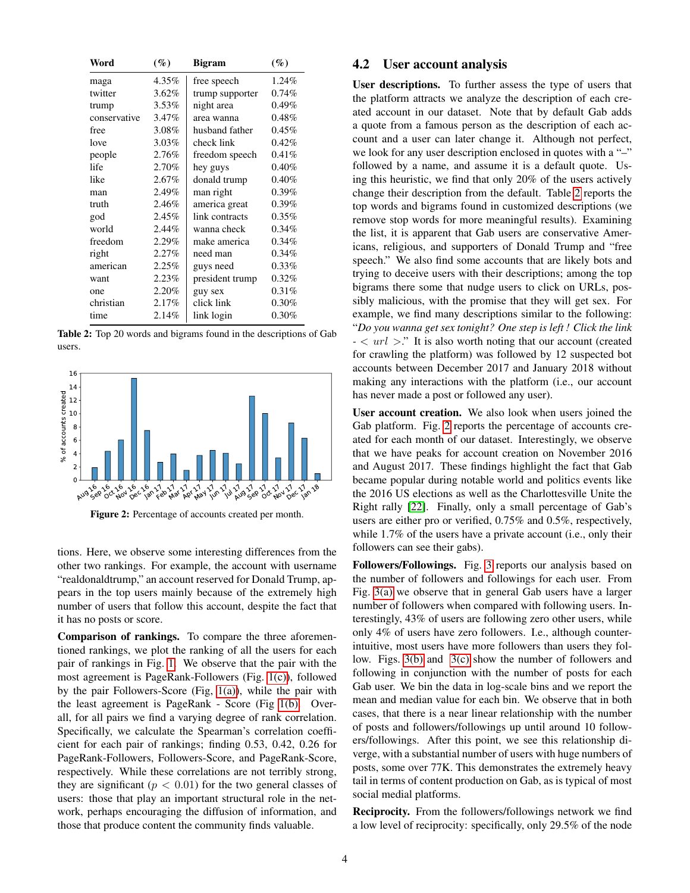<span id="page-3-0"></span>

| Word         | $(\%)$   | <b>Bigram</b>   | $(\%)$   |
|--------------|----------|-----------------|----------|
| maga         | 4.35%    | free speech     | 1.24%    |
| twitter      | $3.62\%$ | trump supporter | 0.74%    |
| trump        | 3.53%    | night area      | 0.49%    |
| conservative | 3.47%    | area wanna      | 0.48%    |
| free         | 3.08%    | husband father  | 0.45%    |
| love         | 3.03%    | check link      | 0.42%    |
| people       | 2.76%    | freedom speech  | 0.41%    |
| life         | 2.70%    | hey guys        | 0.40%    |
| like         | 2.67%    | donald trump    | 0.40%    |
| man          | 2.49%    | man right       | $0.39\%$ |
| truth        | 2.46%    | america great   | $0.39\%$ |
| god          | 2.45%    | link contracts  | $0.35\%$ |
| world        | 2.44%    | wanna check     | 0.34%    |
| freedom      | 2.29%    | make america    | 0.34%    |
| right        | 2.27%    | need man        | $0.34\%$ |
| american     | 2.25%    | guys need       | 0.33%    |
| want         | 2.23%    | president trump | 0.32%    |
| one          | 2.20%    | guy sex         | 0.31%    |
| christian    | 2.17%    | click link      | 0.30%    |
| time         | 2.14%    | link login      | 0.30%    |

Table 2: Top 20 words and bigrams found in the descriptions of Gab users.

<span id="page-3-1"></span>

Figure 2: Percentage of accounts created per month.

tions. Here, we observe some interesting differences from the other two rankings. For example, the account with username "realdonaldtrump," an account reserved for Donald Trump, appears in the top users mainly because of the extremely high number of users that follow this account, despite the fact that it has no posts or score.

Comparison of rankings. To compare the three aforementioned rankings, we plot the ranking of all the users for each pair of rankings in Fig. [1.](#page-2-2) We observe that the pair with the most agreement is PageRank-Followers (Fig. [1\(c\)\)](#page-2-3), followed by the pair Followers-Score (Fig, [1\(a\)\)](#page-2-4), while the pair with the least agreement is PageRank - Score (Fig [1\(b\).](#page-2-5) Overall, for all pairs we find a varying degree of rank correlation. Specifically, we calculate the Spearman's correlation coefficient for each pair of rankings; finding 0.53, 0.42, 0.26 for PageRank-Followers, Followers-Score, and PageRank-Score, respectively. While these correlations are not terribly strong, they are significant ( $p < 0.01$ ) for the two general classes of users: those that play an important structural role in the network, perhaps encouraging the diffusion of information, and those that produce content the community finds valuable.

#### 4.2 User account analysis

User descriptions. To further assess the type of users that the platform attracts we analyze the description of each created account in our dataset. Note that by default Gab adds a quote from a famous person as the description of each account and a user can later change it. Although not perfect, we look for any user description enclosed in quotes with a "-" followed by a name, and assume it is a default quote. Using this heuristic, we find that only 20% of the users actively change their description from the default. Table [2](#page-3-0) reports the top words and bigrams found in customized descriptions (we remove stop words for more meaningful results). Examining the list, it is apparent that Gab users are conservative Americans, religious, and supporters of Donald Trump and "free speech." We also find some accounts that are likely bots and trying to deceive users with their descriptions; among the top bigrams there some that nudge users to click on URLs, possibly malicious, with the promise that they will get sex. For example, we find many descriptions similar to the following: "*Do you wanna get sex tonight? One step is left ! Click the link -* < url >." It is also worth noting that our account (created for crawling the platform) was followed by 12 suspected bot accounts between December 2017 and January 2018 without making any interactions with the platform (i.e., our account has never made a post or followed any user).

User account creation. We also look when users joined the Gab platform. Fig. [2](#page-3-1) reports the percentage of accounts created for each month of our dataset. Interestingly, we observe that we have peaks for account creation on November 2016 and August 2017. These findings highlight the fact that Gab became popular during notable world and politics events like the 2016 US elections as well as the Charlottesville Unite the Right rally [\[22\]](#page-7-4). Finally, only a small percentage of Gab's users are either pro or verified, 0.75% and 0.5%, respectively, while 1.7% of the users have a private account (i.e., only their followers can see their gabs).

Followers/Followings. Fig. [3](#page-4-0) reports our analysis based on the number of followers and followings for each user. From Fig. [3\(a\)](#page-4-1) we observe that in general Gab users have a larger number of followers when compared with following users. Interestingly, 43% of users are following zero other users, while only 4% of users have zero followers. I.e., although counterintuitive, most users have more followers than users they follow. Figs. [3\(b\)](#page-4-2) and [3\(c\)](#page-4-3) show the number of followers and following in conjunction with the number of posts for each Gab user. We bin the data in log-scale bins and we report the mean and median value for each bin. We observe that in both cases, that there is a near linear relationship with the number of posts and followers/followings up until around 10 followers/followings. After this point, we see this relationship diverge, with a substantial number of users with huge numbers of posts, some over 77K. This demonstrates the extremely heavy tail in terms of content production on Gab, as is typical of most social medial platforms.

Reciprocity. From the followers/followings network we find a low level of reciprocity: specifically, only 29.5% of the node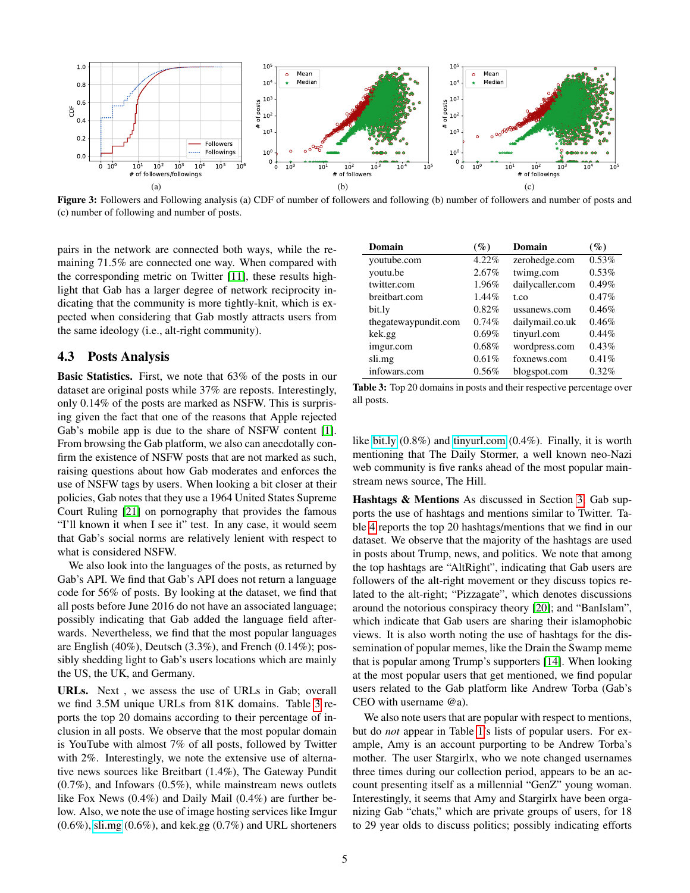<span id="page-4-1"></span><span id="page-4-0"></span>

Figure 3: Followers and Following analysis (a) CDF of number of followers and following (b) number of followers and number of posts and (c) number of following and number of posts.

pairs in the network are connected both ways, while the remaining 71.5% are connected one way. When compared with the corresponding metric on Twitter [\[11\]](#page-6-6), these results highlight that Gab has a larger degree of network reciprocity indicating that the community is more tightly-knit, which is expected when considering that Gab mostly attracts users from the same ideology (i.e., alt-right community).

#### 4.3 Posts Analysis

Basic Statistics. First, we note that 63% of the posts in our dataset are original posts while 37% are reposts. Interestingly, only 0.14% of the posts are marked as NSFW. This is surprising given the fact that one of the reasons that Apple rejected Gab's mobile app is due to the share of NSFW content [\[1\]](#page-6-3). From browsing the Gab platform, we also can anecdotally confirm the existence of NSFW posts that are not marked as such, raising questions about how Gab moderates and enforces the use of NSFW tags by users. When looking a bit closer at their policies, Gab notes that they use a 1964 United States Supreme Court Ruling [\[21\]](#page-7-5) on pornography that provides the famous "I'll known it when I see it" test. In any case, it would seem that Gab's social norms are relatively lenient with respect to what is considered NSFW.

We also look into the languages of the posts, as returned by Gab's API. We find that Gab's API does not return a language code for 56% of posts. By looking at the dataset, we find that all posts before June 2016 do not have an associated language; possibly indicating that Gab added the language field afterwards. Nevertheless, we find that the most popular languages are English (40%), Deutsch (3.3%), and French (0.14%); possibly shedding light to Gab's users locations which are mainly the US, the UK, and Germany.

URLs. Next , we assess the use of URLs in Gab; overall we find 3.5M unique URLs from 81K domains. Table [3](#page-4-4) reports the top 20 domains according to their percentage of inclusion in all posts. We observe that the most popular domain is YouTube with almost 7% of all posts, followed by Twitter with 2%. Interestingly, we note the extensive use of alternative news sources like Breitbart (1.4%), The Gateway Pundit  $(0.7\%)$ , and Infowars  $(0.5\%)$ , while mainstream news outlets like Fox News (0.4%) and Daily Mail (0.4%) are further below. Also, we note the use of image hosting services like Imgur  $(0.6\%)$ ,<sli.mg>  $(0.6\%)$ , and kek.gg  $(0.7\%)$  and URL shorteners

<span id="page-4-4"></span><span id="page-4-3"></span><span id="page-4-2"></span>

| Domain               | $(\%)$ | Domain          | $(\%)$   |
|----------------------|--------|-----------------|----------|
| voutube.com          | 4.22%  | zerohedge.com   | 0.53%    |
| youtu.be             | 2.67%  | twimg.com       | 0.53%    |
| twitter.com          | 1.96%  | dailycaller.com | 0.49%    |
| breitbart.com        | 1.44%  | t.co            | 0.47%    |
| bit.ly               | 0.82%  | ussanews.com    | 0.46%    |
| thegatewaypundit.com | 0.74%  | dailymail.co.uk | 0.46%    |
| kek.gg               | 0.69%  | tinyurl.com     | $0.44\%$ |
| imgur.com            | 0.68%  | wordpress.com   | 0.43%    |
| sli.mg               | 0.61%  | foxnews.com     | 0.41%    |
| infowars.com         | 0.56%  | blogspot.com    | 0.32%    |

Table 3: Top 20 domains in posts and their respective percentage over all posts.

like<bit.ly> (0.8%) and<tinyurl.com> (0.4%). Finally, it is worth mentioning that The Daily Stormer, a well known neo-Nazi web community is five ranks ahead of the most popular mainstream news source, The Hill.

Hashtags & Mentions As discussed in Section [3,](#page-1-0) Gab supports the use of hashtags and mentions similar to Twitter. Table [4](#page-5-0) reports the top 20 hashtags/mentions that we find in our dataset. We observe that the majority of the hashtags are used in posts about Trump, news, and politics. We note that among the top hashtags are "AltRight", indicating that Gab users are followers of the alt-right movement or they discuss topics related to the alt-right; "Pizzagate", which denotes discussions around the notorious conspiracy theory [\[20\]](#page-7-6); and "BanIslam", which indicate that Gab users are sharing their islamophobic views. It is also worth noting the use of hashtags for the dissemination of popular memes, like the Drain the Swamp meme that is popular among Trump's supporters [\[14\]](#page-6-10). When looking at the most popular users that get mentioned, we find popular users related to the Gab platform like Andrew Torba (Gab's CEO with username @a).

We also note users that are popular with respect to mentions, but do *not* appear in Table [1'](#page-2-1)s lists of popular users. For example, Amy is an account purporting to be Andrew Torba's mother. The user Stargirlx, who we note changed usernames three times during our collection period, appears to be an account presenting itself as a millennial "GenZ" young woman. Interestingly, it seems that Amy and Stargirlx have been organizing Gab "chats," which are private groups of users, for 18 to 29 year olds to discuss politics; possibly indicating efforts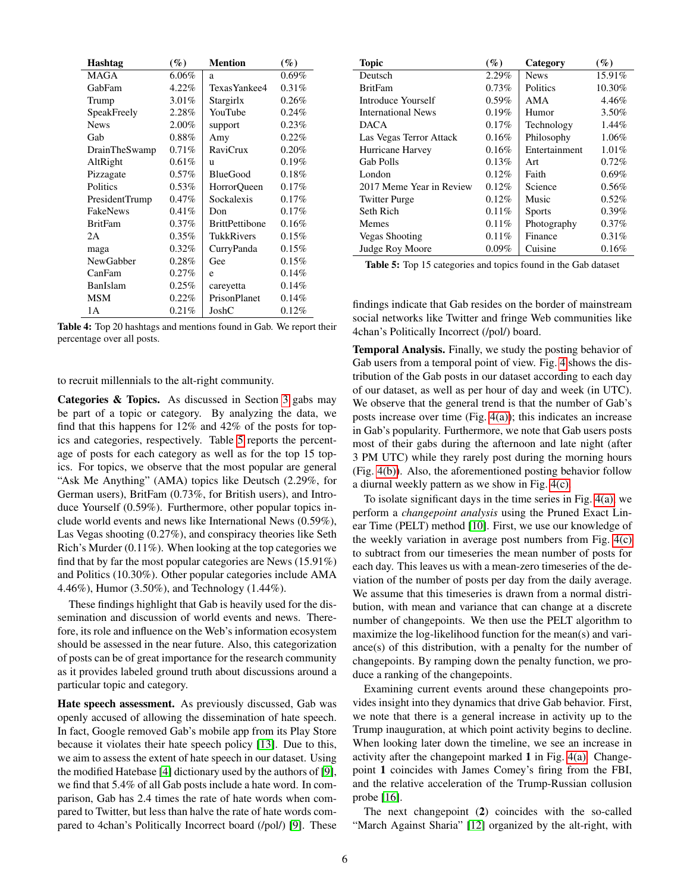<span id="page-5-0"></span>

| <b>Hashtag</b>   | $(\%)$   | <b>Mention</b>        | $($ %)   |
|------------------|----------|-----------------------|----------|
| <b>MAGA</b>      | $6.06\%$ | a                     | $0.69\%$ |
| GabFam           | 4.22%    | Texas Yankee4         | 0.31%    |
| Trump            | 3.01%    | Stargirlx             | 0.26%    |
| SpeakFreely      | 2.28%    | YouTube               | 0.24%    |
| <b>News</b>      | 2.00%    | support               | 0.23%    |
| Gab              | $0.88\%$ | Amy                   | 0.22%    |
| DrainTheSwamp    | 0.71%    | <b>RaviCrux</b>       | 0.20%    |
| AltRight         | 0.61%    | u                     | 0.19%    |
| Pizzagate        | $0.57\%$ | <b>BlueGood</b>       | 0.18%    |
| Politics         | $0.53\%$ | HorrorQueen           | 0.17%    |
| PresidentTrump   | $0.47\%$ | Sockalexis            | 0.17%    |
| FakeNews         | 0.41%    | Don                   | 0.17%    |
| <b>BritFam</b>   | $0.37\%$ | <b>BrittPettibone</b> | 0.16%    |
| 2A               | $0.35\%$ | TukkRivers            | 0.15%    |
| maga             | $0.32\%$ | CurryPanda            | 0.15%    |
| <b>NewGabber</b> | 0.28%    | Gee                   | 0.15%    |
| CanFam           | 0.27%    | e                     | 0.14%    |
| BanIslam         | 0.25%    | careyetta             | 0.14%    |
| <b>MSM</b>       | 0.22%    | PrisonPlanet          | 0.14%    |
| 1A               | 0.21%    | JoshC                 | 0.12%    |

Table 4: Top 20 hashtags and mentions found in Gab. We report their percentage over all posts.

to recruit millennials to the alt-right community.

Categories & Topics. As discussed in Section [3](#page-1-0) gabs may be part of a topic or category. By analyzing the data, we find that this happens for 12% and 42% of the posts for topics and categories, respectively. Table [5](#page-5-1) reports the percentage of posts for each category as well as for the top 15 topics. For topics, we observe that the most popular are general "Ask Me Anything" (AMA) topics like Deutsch (2.29%, for German users), BritFam (0.73%, for British users), and Introduce Yourself (0.59%). Furthermore, other popular topics include world events and news like International News (0.59%), Las Vegas shooting (0.27%), and conspiracy theories like Seth Rich's Murder (0.11%). When looking at the top categories we find that by far the most popular categories are News (15.91%) and Politics (10.30%). Other popular categories include AMA 4.46%), Humor (3.50%), and Technology (1.44%).

These findings highlight that Gab is heavily used for the dissemination and discussion of world events and news. Therefore, its role and influence on the Web's information ecosystem should be assessed in the near future. Also, this categorization of posts can be of great importance for the research community as it provides labeled ground truth about discussions around a particular topic and category.

Hate speech assessment. As previously discussed, Gab was openly accused of allowing the dissemination of hate speech. In fact, Google removed Gab's mobile app from its Play Store because it violates their hate speech policy [\[13\]](#page-6-1). Due to this, we aim to assess the extent of hate speech in our dataset. Using the modified Hatebase [\[4\]](#page-6-11) dictionary used by the authors of [\[9\]](#page-6-4), we find that 5.4% of all Gab posts include a hate word. In comparison, Gab has 2.4 times the rate of hate words when compared to Twitter, but less than halve the rate of hate words compared to 4chan's Politically Incorrect board (/pol/) [\[9\]](#page-6-4). These

<span id="page-5-1"></span>

| <b>Topic</b>              | (%)      | Category      | $(\%)$ |
|---------------------------|----------|---------------|--------|
| Deutsch                   | 2.29%    | <b>News</b>   | 15.91% |
| <b>BritFam</b>            | 0.73%    | Politics      | 10.30% |
| Introduce Yourself        | $0.59\%$ | AMA           | 4.46%  |
| <b>International News</b> | 0.19%    | Humor         | 3.50%  |
| <b>DACA</b>               | $0.17\%$ | Technology    | 1.44%  |
| Las Vegas Terror Attack   | $0.16\%$ | Philosophy    | 1.06%  |
| Hurricane Harvey          | 0.16%    | Entertainment | 1.01%  |
| <b>Gab Polls</b>          | 0.13%    | Art           | 0.72%  |
| London                    | 0.12%    | Faith         | 0.69%  |
| 2017 Meme Year in Review  | 0.12%    | Science       | 0.56%  |
| <b>Twitter Purge</b>      | 0.12%    | Music         | 0.52%  |
| Seth Rich                 | 0.11%    | <b>Sports</b> | 0.39%  |
| Memes                     | 0.11%    | Photography   | 0.37%  |
| <b>Vegas Shooting</b>     | 0.11%    | Finance       | 0.31%  |
| Judge Roy Moore           | $0.09\%$ | Cuisine       | 0.16%  |

Table 5: Top 15 categories and topics found in the Gab dataset

findings indicate that Gab resides on the border of mainstream social networks like Twitter and fringe Web communities like 4chan's Politically Incorrect (/pol/) board.

Temporal Analysis. Finally, we study the posting behavior of Gab users from a temporal point of view. Fig. [4](#page-6-12) shows the distribution of the Gab posts in our dataset according to each day of our dataset, as well as per hour of day and week (in UTC). We observe that the general trend is that the number of Gab's posts increase over time (Fig. [4\(a\)\)](#page-6-13); this indicates an increase in Gab's popularity. Furthermore, we note that Gab users posts most of their gabs during the afternoon and late night (after 3 PM UTC) while they rarely post during the morning hours (Fig. [4\(b\)\)](#page-6-14). Also, the aforementioned posting behavior follow a diurnal weekly pattern as we show in Fig. [4\(c\).](#page-6-15)

To isolate significant days in the time series in Fig. [4\(a\),](#page-6-13) we perform a *changepoint analysis* using the Pruned Exact Linear Time (PELT) method [\[10\]](#page-6-16). First, we use our knowledge of the weekly variation in average post numbers from Fig. [4\(c\)](#page-6-15) to subtract from our timeseries the mean number of posts for each day. This leaves us with a mean-zero timeseries of the deviation of the number of posts per day from the daily average. We assume that this timeseries is drawn from a normal distribution, with mean and variance that can change at a discrete number of changepoints. We then use the PELT algorithm to maximize the log-likelihood function for the mean(s) and variance(s) of this distribution, with a penalty for the number of changepoints. By ramping down the penalty function, we produce a ranking of the changepoints.

Examining current events around these changepoints provides insight into they dynamics that drive Gab behavior. First, we note that there is a general increase in activity up to the Trump inauguration, at which point activity begins to decline. When looking later down the timeline, we see an increase in activity after the changepoint marked  $1$  in Fig. [4\(a\).](#page-6-13) Changepoint 1 coincides with James Comey's firing from the FBI, and the relative acceleration of the Trump-Russian collusion probe [\[16\]](#page-7-7).

The next changepoint (2) coincides with the so-called "March Against Sharia" [\[12\]](#page-6-17) organized by the alt-right, with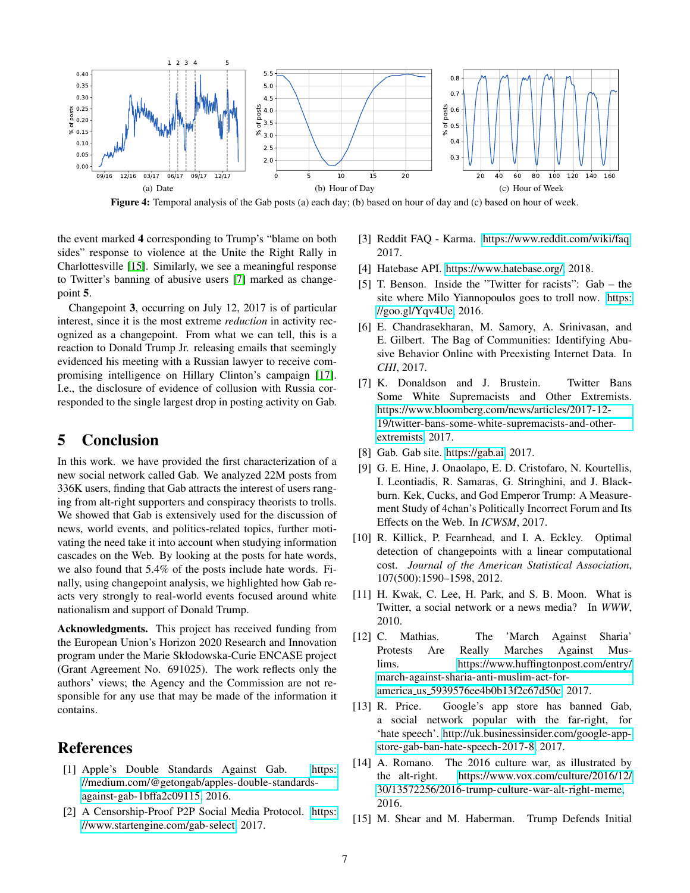<span id="page-6-13"></span><span id="page-6-12"></span>

Figure 4: Temporal analysis of the Gab posts (a) each day; (b) based on hour of day and (c) based on hour of week.

the event marked 4 corresponding to Trump's "blame on both sides" response to violence at the Unite the Right Rally in Charlottesville [\[15\]](#page-6-18). Similarly, we see a meaningful response to Twitter's banning of abusive users [\[7\]](#page-6-19) marked as changepoint 5.

Changepoint 3, occurring on July 12, 2017 is of particular interest, since it is the most extreme *reduction* in activity recognized as a changepoint. From what we can tell, this is a reaction to Donald Trump Jr. releasing emails that seemingly evidenced his meeting with a Russian lawyer to receive compromising intelligence on Hillary Clinton's campaign [\[17\]](#page-7-8). I.e., the disclosure of evidence of collusion with Russia corresponded to the single largest drop in posting activity on Gab.

# <span id="page-6-5"></span>5 Conclusion

In this work. we have provided the first characterization of a new social network called Gab. We analyzed 22M posts from 336K users, finding that Gab attracts the interest of users ranging from alt-right supporters and conspiracy theorists to trolls. We showed that Gab is extensively used for the discussion of news, world events, and politics-related topics, further motivating the need take it into account when studying information cascades on the Web. By looking at the posts for hate words, we also found that 5.4% of the posts include hate words. Finally, using changepoint analysis, we highlighted how Gab reacts very strongly to real-world events focused around white nationalism and support of Donald Trump.

Acknowledgments. This project has received funding from the European Union's Horizon 2020 Research and Innovation program under the Marie Skłodowska-Curie ENCASE project (Grant Agreement No. 691025). The work reflects only the authors' views; the Agency and the Commission are not responsible for any use that may be made of the information it contains.

# References

- <span id="page-6-3"></span>[1] Apple's Double Standards Against Gab. [https:](https://medium.com/@getongab/apples-double-standards-against-gab-1bffa2c09115) [//medium.com/@getongab/apples-double-standards](https://medium.com/@getongab/apples-double-standards-against-gab-1bffa2c09115)[against-gab-1bffa2c09115,](https://medium.com/@getongab/apples-double-standards-against-gab-1bffa2c09115) 2016.
- <span id="page-6-9"></span>[2] A Censorship-Proof P2P Social Media Protocol. [https:](https://www.startengine.com/gab-select) [//www.startengine.com/gab-select,](https://www.startengine.com/gab-select) 2017.
- <span id="page-6-15"></span><span id="page-6-14"></span><span id="page-6-8"></span>[3] Reddit FAQ - Karma. [https://www.reddit.com/wiki/faq,](https://www.reddit.com/wiki/faq) 2017.
- <span id="page-6-11"></span>[4] Hatebase API. [https://www.hatebase.org/,](https://www.hatebase.org/) 2018.
- <span id="page-6-2"></span>[5] T. Benson. Inside the "Twitter for racists": Gab – the site where Milo Yiannopoulos goes to troll now. [https:](https://goo.gl/Yqv4Ue) [//goo.gl/Yqv4Ue,](https://goo.gl/Yqv4Ue) 2016.
- <span id="page-6-7"></span>[6] E. Chandrasekharan, M. Samory, A. Srinivasan, and E. Gilbert. The Bag of Communities: Identifying Abusive Behavior Online with Preexisting Internet Data. In *CHI*, 2017.
- <span id="page-6-19"></span>[7] K. Donaldson and J. Brustein. Twitter Bans Some White Supremacists and Other Extremists. [https://www.bloomberg.com/news/articles/2017-12-](https://www.bloomberg.com/news/articles/2017-12-19/twitter-bans-some-white-supremacists-and-other-extremists) [19/twitter-bans-some-white-supremacists-and-other](https://www.bloomberg.com/news/articles/2017-12-19/twitter-bans-some-white-supremacists-and-other-extremists)[extremists,](https://www.bloomberg.com/news/articles/2017-12-19/twitter-bans-some-white-supremacists-and-other-extremists) 2017.
- <span id="page-6-0"></span>[8] Gab. Gab site. [https://gab.ai,](https://gab.ai) 2017.
- <span id="page-6-4"></span>[9] G. E. Hine, J. Onaolapo, E. D. Cristofaro, N. Kourtellis, I. Leontiadis, R. Samaras, G. Stringhini, and J. Blackburn. Kek, Cucks, and God Emperor Trump: A Measurement Study of 4chan's Politically Incorrect Forum and Its Effects on the Web. In *ICWSM*, 2017.
- <span id="page-6-16"></span>[10] R. Killick, P. Fearnhead, and I. A. Eckley. Optimal detection of changepoints with a linear computational cost. *Journal of the American Statistical Association*, 107(500):1590–1598, 2012.
- <span id="page-6-6"></span>[11] H. Kwak, C. Lee, H. Park, and S. B. Moon. What is Twitter, a social network or a news media? In *WWW*, 2010.
- <span id="page-6-17"></span>[12] C. Mathias. The 'March Against Sharia' Protests Are Really Marches Against Muslims. [https://www.huffingtonpost.com/entry/](https://www.huffingtonpost.com/entry/march-against-sharia-anti-muslim-act-for-america_us_5939576ee4b0b13f2c67d50c) [march-against-sharia-anti-muslim-act-for](https://www.huffingtonpost.com/entry/march-against-sharia-anti-muslim-act-for-america_us_5939576ee4b0b13f2c67d50c)america us [5939576ee4b0b13f2c67d50c,](https://www.huffingtonpost.com/entry/march-against-sharia-anti-muslim-act-for-america_us_5939576ee4b0b13f2c67d50c) 2017.
- <span id="page-6-1"></span>[13] R. Price. Google's app store has banned Gab, a social network popular with the far-right, for 'hate speech'. [http://uk.businessinsider.com/google-app](http://uk.businessinsider.com/google-app-store-gab-ban-hate-speech-2017-8)[store-gab-ban-hate-speech-2017-8,](http://uk.businessinsider.com/google-app-store-gab-ban-hate-speech-2017-8) 2017.
- <span id="page-6-10"></span>[14] A. Romano. The 2016 culture war, as illustrated by the alt-right. [https://www.vox.com/culture/2016/12/](https://www.vox.com/culture/2016/12/30/13572256/2016-trump-culture-war-alt-right-meme) [30/13572256/2016-trump-culture-war-alt-right-meme,](https://www.vox.com/culture/2016/12/30/13572256/2016-trump-culture-war-alt-right-meme) 2016.
- <span id="page-6-18"></span>[15] M. Shear and M. Haberman. Trump Defends Initial